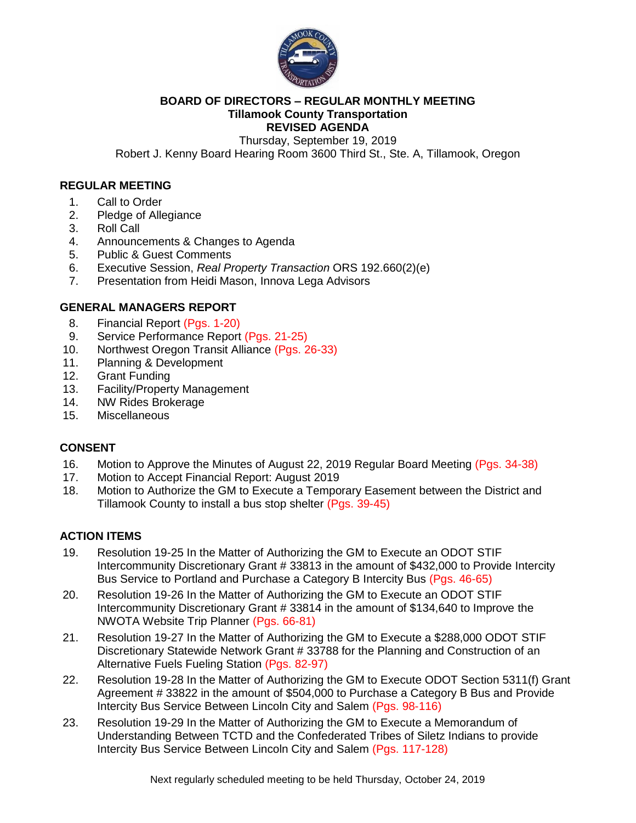

#### **BOARD OF DIRECTORS – REGULAR MONTHLY MEETING Tillamook County Transportation REVISED AGENDA**

Thursday, September 19, 2019

Robert J. Kenny Board Hearing Room 3600 Third St., Ste. A, Tillamook, Oregon

### **REGULAR MEETING**

- 1. Call to Order
- 2. Pledge of Allegiance
- 3. Roll Call
- 4. Announcements & Changes to Agenda
- 5. Public & Guest Comments
- 6. Executive Session, *Real Property Transaction* ORS 192.660(2)(e)
- 7. Presentation from Heidi Mason, Innova Lega Advisors

### **GENERAL MANAGERS REPORT**

- 8. Financial Report (Pgs. 1-20)
- 9. Service Performance Report (Pgs. 21-25)
- 10. Northwest Oregon Transit Alliance (Pgs. 26-33)
- 11. Planning & Development
- 12. Grant Funding
- 13. Facility/Property Management
- 14. NW Rides Brokerage
- 15. Miscellaneous

#### **CONSENT**

- 16. Motion to Approve the Minutes of August 22, 2019 Regular Board Meeting (Pgs. 34-38)
- 17. Motion to Accept Financial Report: August 2019
- 18. Motion to Authorize the GM to Execute a Temporary Easement between the District and Tillamook County to install a bus stop shelter (Pgs. 39-45)

## **ACTION ITEMS**

- 19. Resolution 19-25 In the Matter of Authorizing the GM to Execute an ODOT STIF Intercommunity Discretionary Grant # 33813 in the amount of \$432,000 to Provide Intercity Bus Service to Portland and Purchase a Category B Intercity Bus (Pgs. 46-65)
- 20. Resolution 19-26 In the Matter of Authorizing the GM to Execute an ODOT STIF Intercommunity Discretionary Grant # 33814 in the amount of \$134,640 to Improve the NWOTA Website Trip Planner (Pgs. 66-81)
- 21. Resolution 19-27 In the Matter of Authorizing the GM to Execute a \$288,000 ODOT STIF Discretionary Statewide Network Grant # 33788 for the Planning and Construction of an Alternative Fuels Fueling Station (Pgs. 82-97)
- 22. Resolution 19-28 In the Matter of Authorizing the GM to Execute ODOT Section 5311(f) Grant Agreement # 33822 in the amount of \$504,000 to Purchase a Category B Bus and Provide Intercity Bus Service Between Lincoln City and Salem (Pgs. 98-116)
- 23. Resolution 19-29 In the Matter of Authorizing the GM to Execute a Memorandum of Understanding Between TCTD and the Confederated Tribes of Siletz Indians to provide Intercity Bus Service Between Lincoln City and Salem (Pgs. 117-128)